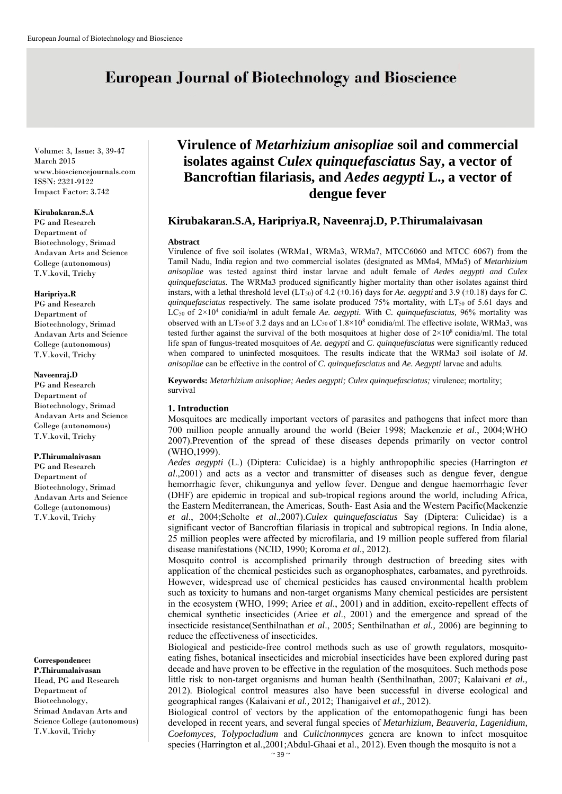# **European Journal of Biotechnology and Bioscience**

Volume: 3, Issue: 3, 39-47 March 2015 www.biosciencejournals.com ISSN: 2321-9122 Impact Factor: 3.742

## **Kirubakaran.S.A**

PG and Research Department of Biotechnology, Srimad Andavan Arts and Science College (autonomous) T.V.kovil, Trichy

#### **Haripriya.R**

PG and Research Department of Biotechnology, Srimad Andavan Arts and Science College (autonomous) T.V.kovil, Trichy

#### **Naveenraj.D**

PG and Research Department of Biotechnology, Srimad Andavan Arts and Science College (autonomous) T.V.kovil, Trichy

#### **P.Thirumalaivasan**

PG and Research Department of Biotechnology, Srimad Andavan Arts and Science College (autonomous) T.V.kovil, Trichy

#### **Correspondence: P.Thirumalaivasan**

Head, PG and Research Department of Biotechnology, Srimad Andavan Arts and Science College (autonomous) T.V.kovil, Trichy

# **Virulence of** *Metarhizium anisopliae* **soil and commercial isolates against** *Culex quinquefasciatus* **Say, a vector of Bancroftian filariasis, and** *Aedes aegypti* **L., a vector of dengue fever**

# **Kirubakaran.S.A, Haripriya.R, Naveenraj.D, P.Thirumalaivasan**

#### **Abstract**

Virulence of five soil isolates (WRMa1, WRMa3, WRMa7, MTCC6060 and MTCC 6067) from the Tamil Nadu, India region and two commercial isolates (designated as MMa4, MMa5) of *Metarhizium anisopliae* was tested against third instar larvae and adult female of *Aedes aegypti and Culex quinquefasciatus.* The WRMa3 produced significantly higher mortality than other isolates against third instars, with a lethal threshold level (LT<sub>50</sub>) of 4.2 ( $\pm$ 0.16) days for *Ae. aegypti* and 3.9 ( $\pm$ 0.18) days for *C*. *quinquefasciatus* respectively. The same isolate produced 75% mortality, with LT<sub>50</sub> of 5.61 days and LC50 of 2×104 conidia/ml in adult female *Ae. aegypti.* With C*. quinquefasciatus,* 96% mortality was observed with an LT<sub>50</sub> of 3.2 days and an LC<sub>50</sub> of  $1.8\times10^8$  conidia/ml. The effective isolate, WRMa3, was tested further against the survival of the both mosquitoes at higher dose of  $2\times10^8$  conidia/ml. The total life span of fungus-treated mosquitoes of *Ae. aegypti* and *C*. *quinquefasciatus* were significantly reduced when compared to uninfected mosquitoes. The results indicate that the WRMa3 soil isolate of *M*. *anisopliae* can be effective in the control of *C. quinquefasciatus* and *Ae. Aegypti* larvae and adults.

**Keywords:** *Metarhizium anisopliae; Aedes aegypti; Culex quinquefasciatus;* virulence; mortality; survival

## **1. Introduction**

Mosquitoes are medically important vectors of parasites and pathogens that infect more than 700 million people annually around the world (Beier 1998; Mackenzie *et al*., 2004;WHO 2007).Prevention of the spread of these diseases depends primarily on vector control (WHO,1999).

*Aedes aegypti* (L.) (Diptera: Culicidae) is a highly anthropophilic species (Harrington *et al*.,2001) and acts as a vector and transmitter of diseases such as dengue fever, dengue hemorrhagic fever, chikungunya and yellow fever. Dengue and dengue haemorrhagic fever (DHF) are epidemic in tropical and sub-tropical regions around the world, including Africa, the Eastern Mediterranean, the Americas, South- East Asia and the Western Pacific(Mackenzie *et al*., 2004;Scholte *et al*.,2007).*Culex quinquefasciatus* Say (Diptera: Culicidae) is a significant vector of Bancroftian filariasis in tropical and subtropical regions. In India alone, 25 million peoples were affected by microfilaria, and 19 million people suffered from filarial disease manifestations (NCID, 1990; Koroma *et al*., 2012).

Mosquito control is accomplished primarily through destruction of breeding sites with application of the chemical pesticides such as organophosphates, carbamates, and pyrethroids. However, widespread use of chemical pesticides has caused environmental health problem such as toxicity to humans and non-target organisms Many chemical pesticides are persistent in the ecosystem (WHO, 1999; Ariee *et al*., 2001) and in addition, excito-repellent effects of chemical synthetic insecticides (Ariee *et al*., 2001) and the emergence and spread of the insecticide resistance(Senthilnathan *et al*., 2005; Senthilnathan *et al.,* 2006) are beginning to reduce the effectiveness of insecticides.

Biological and pesticide-free control methods such as use of growth regulators, mosquitoeating fishes, botanical insecticides and microbial insecticides have been explored during past decade and have proven to be effective in the regulation of the mosquitoes. Such methods pose little risk to non-target organisms and human health (Senthilnathan, 2007; Kalaivani *et al.,* 2012). Biological control measures also have been successful in diverse ecological and geographical ranges (Kalaivani *et al.,* 2012; Thanigaivel *et al.,* 2012).

Biological control of vectors by the application of the entomopathogenic fungi has been developed in recent years, and several fungal species of *Metarhizium, Beauveria, Lagenidium, Coelomyces, Tolypocladium* and *Culicinonmyces* genera are known to infect mosquitoe species (Harrington et al.,2001;Abdul-Ghaai et al., 2012). Even though the mosquito is not a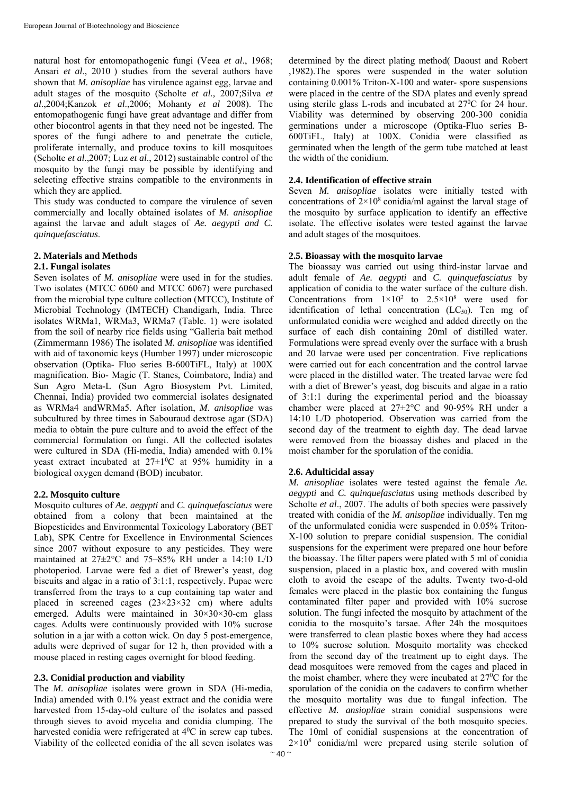natural host for entomopathogenic fungi (Veea *et al*., 1968; Ansari *et al*., 2010 ) studies from the several authors have shown that *M. anisopliae* has virulence against egg, larvae and adult stages of the mosquito (Scholte *et al.,* 2007;Silva *et al*.,2004;Kanzok *et al*.,2006; Mohanty *et al* 2008). The entomopathogenic fungi have great advantage and differ from other biocontrol agents in that they need not be ingested. The spores of the fungi adhere to and penetrate the cuticle, proliferate internally, and produce toxins to kill mosquitoes (Scholte *et al.*, 2007; Luz *et al.*, 2012) sustainable control of the mosquito by the fungi may be possible by identifying and selecting effective strains compatible to the environments in which they are applied.

This study was conducted to compare the virulence of seven commercially and locally obtained isolates of *M. anisopliae* against the larvae and adult stages of *Ae. aegypti and C. quinquefasciatus*.

## **2. Materials and Methods**

## **2.1. Fungal isolates**

Seven isolates of *M. anisopliae* were used in for the studies. Two isolates (MTCC 6060 and MTCC 6067) were purchased from the microbial type culture collection (MTCC), Institute of Microbial Technology (IMTECH) Chandigarh, India. Three isolates WRMa1, WRMa3, WRMa7 (Table. 1) were isolated from the soil of nearby rice fields using "Galleria bait method (Zimmermann 1986) The isolated *M. anisopliae* was identified with aid of taxonomic keys (Humber 1997) under microscopic observation (Optika- Fluo series B-600TiFL, Italy) at 100X magnification. Bio- Magic (T. Stanes, Coimbatore, India) and Sun Agro Meta-L (Sun Agro Biosystem Pvt. Limited, Chennai, India) provided two commercial isolates designated as WRMa4 andWRMa5. After isolation, *M. anisopliae* was subcultured by three times in Sabouraud dextrose agar (SDA) media to obtain the pure culture and to avoid the effect of the commercial formulation on fungi. All the collected isolates were cultured in SDA (Hi-media, India) amended with 0.1% yeast extract incubated at  $27 \pm 10^{\circ}$ C at 95% humidity in a biological oxygen demand (BOD) incubator.

#### **2.2. Mosquito culture**

Mosquito cultures of *Ae. aegypti* and *C. quinquefasciatus* were obtained from a colony that been maintained at the Biopesticides and Environmental Toxicology Laboratory (BET Lab), SPK Centre for Excellence in Environmental Sciences since 2007 without exposure to any pesticides. They were maintained at 27±2°C and 75–85% RH under a 14:10 L/D photoperiod. Larvae were fed a diet of Brewer's yeast, dog biscuits and algae in a ratio of 3:1:1, respectively. Pupae were transferred from the trays to a cup containing tap water and placed in screened cages  $(23\times23\times32$  cm) where adults emerged. Adults were maintained in  $30\times30\times30$ -cm glass cages. Adults were continuously provided with 10% sucrose solution in a jar with a cotton wick. On day 5 post-emergence, adults were deprived of sugar for 12 h, then provided with a mouse placed in resting cages overnight for blood feeding.

## **2.3. Conidial production and viability**

The *M. anisopliae* isolates were grown in SDA (Hi-media, India) amended with 0.1% yeast extract and the conidia were harvested from 15-day-old culture of the isolates and passed through sieves to avoid mycelia and conidia clumping. The harvested conidia were refrigerated at 4<sup>0</sup>C in screw cap tubes. Viability of the collected conidia of the all seven isolates was

determined by the direct plating method( Daoust and Robert ,1982).The spores were suspended in the water solution containing 0.001% Triton-X-100 and water- spore suspensions were placed in the centre of the SDA plates and evenly spread using sterile glass L-rods and incubated at  $27^{\circ}$ C for 24 hour. Viability was determined by observing 200-300 conidia germinations under a microscope (Optika-Fluo series B-600TiFL, Italy) at 100X. Conidia were classified as germinated when the length of the germ tube matched at least the width of the conidium.

## **2.4. Identification of effective strain**

Seven *M. anisopliae* isolates were initially tested with concentrations of  $2\times10^8$  conidia/ml against the larval stage of the mosquito by surface application to identify an effective isolate. The effective isolates were tested against the larvae and adult stages of the mosquitoes.

#### **2.5. Bioassay with the mosquito larvae**

The bioassay was carried out using third-instar larvae and adult female of *Ae. aegypti* and *C. quinquefasciatus* by application of conidia to the water surface of the culture dish. Concentrations from  $1 \times 10^2$  to  $2.5 \times 10^8$  were used for identification of lethal concentration  $(LC_{50})$ . Ten mg of unformulated conidia were weighed and added directly on the surface of each dish containing 20ml of distilled water. Formulations were spread evenly over the surface with a brush and 20 larvae were used per concentration. Five replications were carried out for each concentration and the control larvae were placed in the distilled water. The treated larvae were fed with a diet of Brewer's yeast, dog biscuits and algae in a ratio of 3:1:1 during the experimental period and the bioassay chamber were placed at 27±2°C and 90-95% RH under a 14:10 L/D photoperiod. Observation was carried from the second day of the treatment to eighth day. The dead larvae were removed from the bioassay dishes and placed in the moist chamber for the sporulation of the conidia.

#### **2.6. Adulticidal assay**

*M. anisopliae* isolates were tested against the female *Ae. aegypti* and *C. quinquefasciatus* using methods described by Scholte *et al.*, 2007. The adults of both species were passively treated with conidia of the *M. anisopliae* individually. Ten mg of the unformulated conidia were suspended in 0.05% Triton-X-100 solution to prepare conidial suspension. The conidial suspensions for the experiment were prepared one hour before the bioassay. The filter papers were plated with 5 ml of conidia suspension, placed in a plastic box, and covered with muslin cloth to avoid the escape of the adults. Twenty two-d-old females were placed in the plastic box containing the fungus contaminated filter paper and provided with 10% sucrose solution. The fungi infected the mosquito by attachment of the conidia to the mosquito's tarsae. After 24h the mosquitoes were transferred to clean plastic boxes where they had access to 10% sucrose solution. Mosquito mortality was checked from the second day of the treatment up to eight days. The dead mosquitoes were removed from the cages and placed in the moist chamber, where they were incubated at 27<sup>0</sup>C for the sporulation of the conidia on the cadavers to confirm whether the mosquito mortality was due to fungal infection. The effective *M. ansiopliae* strain conidial suspensions were prepared to study the survival of the both mosquito species. The 10ml of conidial suspensions at the concentration of  $2 \times 10^8$  conidia/ml were prepared using sterile solution of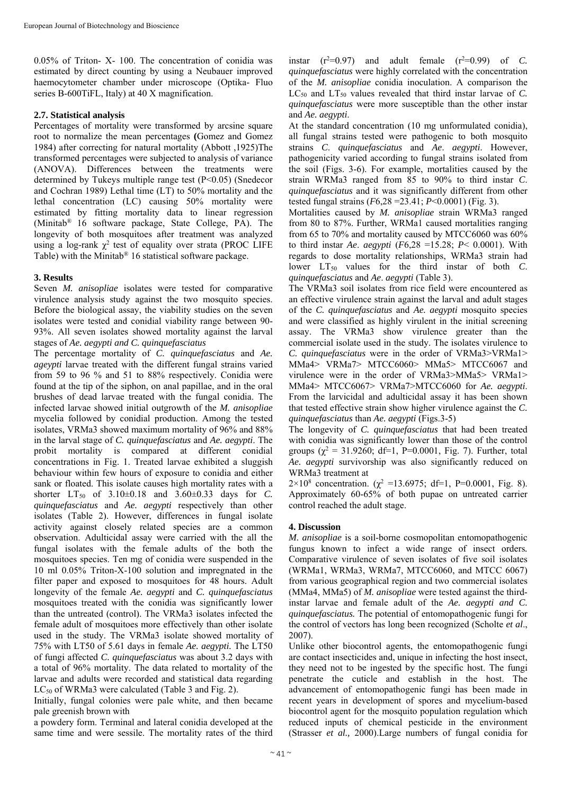0.05% of Triton- X- 100. The concentration of conidia was estimated by direct counting by using a Neubauer improved haemocytometer chamber under microscope (Optika- Fluo series B-600TiFL, Italy) at 40 X magnification.

## **2.7. Statistical analysis**

Percentages of mortality were transformed by arcsine square root to normalize the mean percentages **(**Gomez and Gomez 1984) after correcting for natural mortality (Abbott ,1925)The transformed percentages were subjected to analysis of variance (ANOVA). Differences between the treatments were determined by Tukeys multiple range test (P<0.05) (Snedecor and Cochran 1989) Lethal time (LT) to 50% mortality and the lethal concentration (LC) causing 50% mortality were estimated by fitting mortality data to linear regression (Minitab® 16 software package, State College, PA). The longevity of both mosquitoes after treatment was analyzed using a log-rank  $\chi^2$  test of equality over strata (PROC LIFE Table) with the Minitab® 16 statistical software package.

# **3. Results**

Seven *M. anisopliae* isolates were tested for comparative virulence analysis study against the two mosquito species. Before the biological assay, the viability studies on the seven isolates were tested and conidial viability range between 90- 93%. All seven isolates showed mortality against the larval stages of *Ae. aegypti and C. quinquefasciatus* 

The percentage mortality of *C. quinquefasciatus* and *Ae. ageypti* larvae treated with the different fungal strains varied from 59 to 96 % and 51 to 88% respectively. Conidia were found at the tip of the siphon, on anal papillae, and in the oral brushes of dead larvae treated with the fungal conidia. The infected larvae showed initial outgrowth of the *M. anisopliae*  mycelia followed by conidial production. Among the tested isolates, VRMa3 showed maximum mortality of 96% and 88% in the larval stage of *C. quinquefasciatus* and *Ae. aegypti*. The probit mortality is compared at different conidial concentrations in Fig. 1. Treated larvae exhibited a sluggish behaviour within few hours of exposure to conidia and either sank or floated. This isolate causes high mortality rates with a shorter  $LT_{50}$  of  $3.10\pm0.18$  and  $3.60\pm0.33$  days for *C*. *quinquefasciatus* and *Ae. aegypti* respectively than other isolates (Table 2). However, differences in fungal isolate activity against closely related species are a common observation. Adulticidal assay were carried with the all the fungal isolates with the female adults of the both the mosquitoes species. Ten mg of conidia were suspended in the 10 ml 0.05% Triton-X-100 solution and impregnated in the filter paper and exposed to mosquitoes for 48 hours. Adult longevity of the female *Ae. aegypti* and *C. quinquefasciatus*  mosquitoes treated with the conidia was significantly lower than the untreated (control). The VRMa3 isolates infected the female adult of mosquitoes more effectively than other isolate used in the study. The VRMa3 isolate showed mortality of 75% with LT50 of 5.61 days in female *Ae. aegypti.* The LT50 of fungi affected *C. quinquefasciatus* was about 3.2 days with a total of 96% mortality. The data related to mortality of the larvae and adults were recorded and statistical data regarding LC<sub>50</sub> of WRMa3 were calculated (Table 3 and Fig. 2).

Initially, fungal colonies were pale white, and then became pale greenish brown with

a powdery form. Terminal and lateral conidia developed at the same time and were sessile. The mortality rates of the third

instar  $(r^2=0.97)$  and adult female  $(r^2=0.99)$  of *C*. *quinquefasciatus* were highly correlated with the concentration of the *M. anisopliae* conidia inoculation. A comparison the LC<sub>50</sub> and LT<sub>50</sub> values revealed that third instar larvae of *C*. *quinquefasciatus* were more susceptible than the other instar and *Ae. aegypti*.

At the standard concentration (10 mg unformulated conidia), all fungal strains tested were pathogenic to both mosquito strains *C*. *quinquefasciatus* and *Ae*. *aegypti*. However, pathogenicity varied according to fungal strains isolated from the soil (Figs. 3-6). For example, mortalities caused by the strain WRMa3 ranged from 85 to 90% to third instar *C*. *quinquefasciatus* and it was significantly different from other tested fungal strains (*F*6,28 =23.41; *P*<0.0001) (Fig. 3).

Mortalities caused by *M. anisopliae* strain WRMa3 ranged from 80 to 87%. Further, WRMa1 caused mortalities ranging from 65 to 70% and mortality caused by MTCC6060 was 60% to third instar *Ae*. *aegypti* (*F*6,28 =15.28; *P*< 0.0001). With regards to dose mortality relationships, WRMa3 strain had lower  $LT_{50}$  values for the third instar of both *C*. *quinquefasciatus* and *Ae*. *aegypti* (Table 3).

The VRMa3 soil isolates from rice field were encountered as an effective virulence strain against the larval and adult stages of the *C. quinquefasciatus* and *Ae. aegypti* mosquito species and were classified as highly virulent in the initial screening assay. The VRMa3 show virulence greater than the commercial isolate used in the study. The isolates virulence to *C. quinquefasciatus* were in the order of VRMa3>VRMa1> MMa4> VRMa7> MTCC6060> MMa5> MTCC6067 and virulence were in the order of VRMa3>MMa5> VRMa1> MMa4> MTCC6067> VRMa7>MTCC6060 for *Ae. aegypti*. From the larvicidal and adulticidal assay it has been shown that tested effective strain show higher virulence against the *C. quinquefasciatus* than *Ae. aegypti* (Figs.3-5)

The longevity of *C. quinquefasciatus* that had been treated with conidia was significantly lower than those of the control groups  $(\chi^2 = 31.9260; df=1, P=0.0001, Fig. 7)$ . Further, total *Ae. aegypti* survivorship was also significantly reduced on WRMa3 treatment at

2×10<sup>8</sup> concentration. ( $\chi^2$  =13.6975; df=1, P=0.0001, Fig. 8). Approximately 60-65% of both pupae on untreated carrier control reached the adult stage.

## **4. Discussion**

*M. anisopliae* is a soil-borne cosmopolitan entomopathogenic fungus known to infect a wide range of insect orders*.*  Comparative virulence of seven isolates of five soil isolates (WRMa1, WRMa3, WRMa7, MTCC6060, and MTCC 6067) from various geographical region and two commercial isolates (MMa4, MMa5) of *M. anisopliae* were tested against the thirdinstar larvae and female adult of the *Ae. aegypti and C. quinquefasciatus.* The potential of entomopathogenic fungi for the control of vectors has long been recognized (Scholte *et al*., 2007).

Unlike other biocontrol agents, the entomopathogenic fungi are contact insecticides and, unique in infecting the host insect, they need not to be ingested by the specific host. The fungi penetrate the cuticle and establish in the host. The advancement of entomopathogenic fungi has been made in recent years in development of spores and mycelium-based biocontrol agent for the mosquito population regulation which reduced inputs of chemical pesticide in the environment (Strasser *et al.,* 2000).Large numbers of fungal conidia for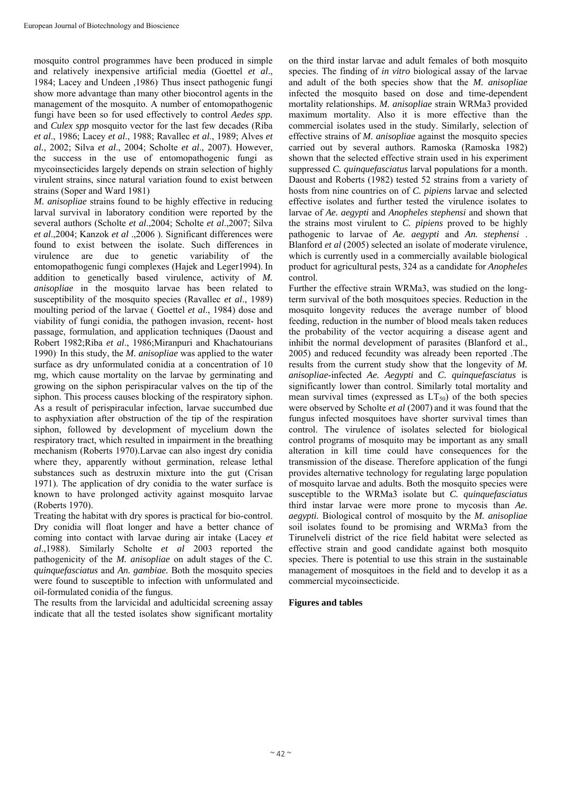mosquito control programmes have been produced in simple and relatively inexpensive artificial media (Goettel *et al*., 1984; Lacey and Undeen ,1986). Thus insect pathogenic fungi show more advantage than many other biocontrol agents in the management of the mosquito. A number of entomopathogenic fungi have been so for used effectively to control *Aedes spp.*  and *Culex spp* mosquito vector for the last few decades (Riba *et al*., 1986; Lacey *et al*., 1988; Ravallec *et al*., 1989; Alves *et al.*, 2002; Silva *et al*., 2004; Scholte *et al*., 2007). However, the success in the use of entomopathogenic fungi as mycoinsecticides largely depends on strain selection of highly virulent strains, since natural variation found to exist between strains (Soper and Ward 1981)

*M. anisopliae* strains found to be highly effective in reducing larval survival in laboratory condition were reported by the several authors (Scholte *et al*.,2004; Scholte *et al*.,2007; Silva *et al*.,2004; Kanzok *et al* .,2006 ). Significant differences were found to exist between the isolate. Such differences in virulence are due to genetic variability of the entomopathogenic fungi complexes (Hajek and Leger1994). In addition to genetically based virulence, activity of *M. anisopliae* in the mosquito larvae has been related to susceptibility of the mosquito species (Ravallec *et al*., 1989) moulting period of the larvae ( Goettel *et al*., 1984) dose and viability of fungi conidia, the pathogen invasion, recent- host passage, formulation, and application techniques (Daoust and Robert 1982;Riba *et al*., 1986;Miranpuri and Khachatourians 1990). In this study, the *M. anisopliae* was applied to the water surface as dry unformulated conidia at a concentration of 10 mg, which cause mortality on the larvae by germinating and growing on the siphon perispiracular valves on the tip of the siphon. This process causes blocking of the respiratory siphon. As a result of perispiracular infection, larvae succumbed due to asphyxiation after obstruction of the tip of the respiration siphon, followed by development of mycelium down the respiratory tract, which resulted in impairment in the breathing mechanism (Roberts 1970).Larvae can also ingest dry conidia where they, apparently without germination, release lethal substances such as destruxin mixture into the gut (Crisan 1971). The application of dry conidia to the water surface is known to have prolonged activity against mosquito larvae (Roberts 1970).

Treating the habitat with dry spores is practical for bio-control. Dry conidia will float longer and have a better chance of coming into contact with larvae during air intake (Lacey *et al*.,1988). Similarly Scholte *et al* 2003 reported the pathogenicity of the *M. anisopliae* on adult stages of the C*. quinquefasciatus* and *An. gambiae.* Both the mosquito species were found to susceptible to infection with unformulated and oil-formulated conidia of the fungus.

The results from the larvicidal and adulticidal screening assay indicate that all the tested isolates show significant mortality

on the third instar larvae and adult females of both mosquito species. The finding of *in vitro* biological assay of the larvae and adult of the both species show that the *M. anisopliae*  infected the mosquito based on dose and time-dependent mortality relationships. *M. anisopliae* strain WRMa3 provided maximum mortality. Also it is more effective than the commercial isolates used in the study. Similarly, selection of effective strains of *M. anisopliae* against the mosquito species carried out by several authors. Ramoska (Ramoska 1982) shown that the selected effective strain used in his experiment suppressed *C. quinquefasciatus* larval populations for a month. Daoust and Roberts (1982) tested 52 strains from a variety of hosts from nine countries on of *C. pipiens* larvae and selected effective isolates and further tested the virulence isolates to larvae of *Ae. aegypti* and *Anopheles stephensi* and shown that the strains most virulent to *C. pipiens* proved to be highly pathogenic to larvae of *Ae. aegypti* and *An. stephensi* . Blanford *et al* (2005) selected an isolate of moderate virulence, which is currently used in a commercially available biological product for agricultural pests, 324 as a candidate for *Anopheles*  control.

Further the effective strain WRMa3, was studied on the longterm survival of the both mosquitoes species. Reduction in the mosquito longevity reduces the average number of blood feeding, reduction in the number of blood meals taken reduces the probability of the vector acquiring a disease agent and inhibit the normal development of parasites (Blanford et al., 2005) and reduced fecundity was already been reported .The results from the current study show that the longevity of *M. anisopliae*-infected *Ae. Aegypti* and *C. quinquefasciatus* is significantly lower than control. Similarly total mortality and mean survival times (expressed as  $LT_{50}$ ) of the both species were observed by Scholte *et al* (2007) and it was found that the fungus infected mosquitoes have shorter survival times than control. The virulence of isolates selected for biological control programs of mosquito may be important as any small alteration in kill time could have consequences for the transmission of the disease. Therefore application of the fungi provides alternative technology for regulating large population of mosquito larvae and adults. Both the mosquito species were susceptible to the WRMa3 isolate but *C. quinquefasciatus*  third instar larvae were more prone to mycosis than *Ae. aegypti.* Biological control of mosquito by the *M. anisopliae*  soil isolates found to be promising and WRMa3 from the Tirunelveli district of the rice field habitat were selected as effective strain and good candidate against both mosquito species. There is potential to use this strain in the sustainable management of mosquitoes in the field and to develop it as a commercial mycoinsecticide.

## **Figures and tables**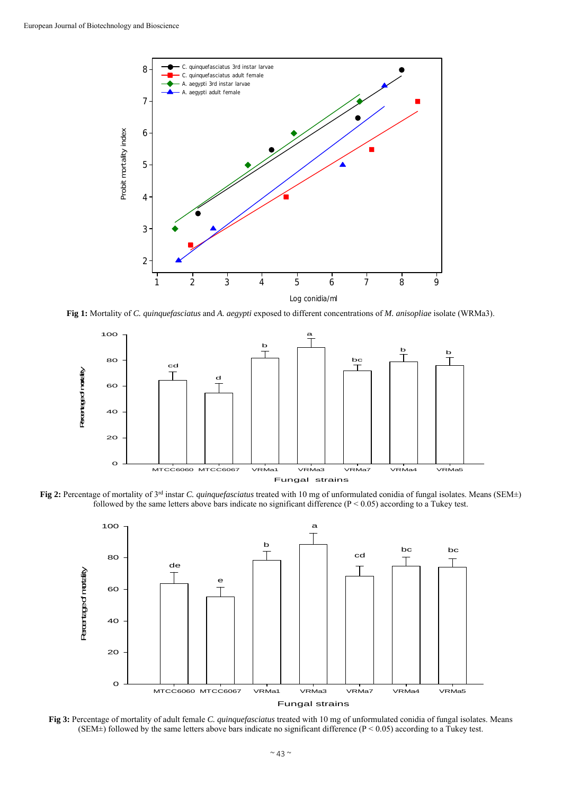

**Fig 1:** Mortality of *C. quinquefasciatus* and *A. aegypti* exposed to different concentrations of *M. anisopliae* isolate (WRMa3).



**Fig 2:** Percentage of mortality of 3rd instar *C. quinquefasciatus* treated with 10 mg of unformulated conidia of fungal isolates. Means (SEM±) followed by the same letters above bars indicate no significant difference (P < 0.05) according to a Tukey test.



**Fig 3:** Percentage of mortality of adult female *C. quinquefasciatus* treated with 10 mg of unformulated conidia of fungal isolates. Means (SEM $\pm$ ) followed by the same letters above bars indicate no significant difference (P < 0.05) according to a Tukey test.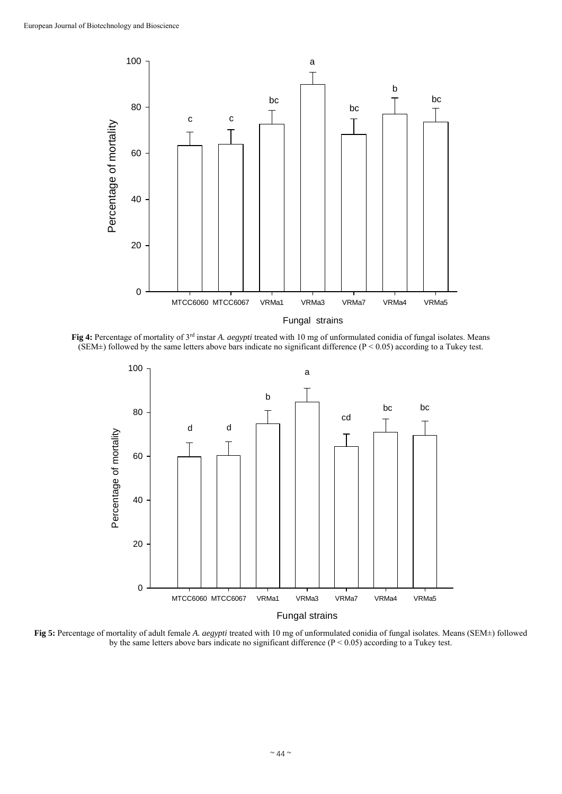

**Fig 4:** Percentage of mortality of 3rd instar *A. aegypti* treated with 10 mg of unformulated conidia of fungal isolates. Means (SEM $\pm$ ) followed by the same letters above bars indicate no significant difference (P < 0.05) according to a Tukey test.



**Fig 5:** Percentage of mortality of adult female *A. aegypti* treated with 10 mg of unformulated conidia of fungal isolates. Means (SEM±) followed by the same letters above bars indicate no significant difference  $(P < 0.05)$  according to a Tukey test.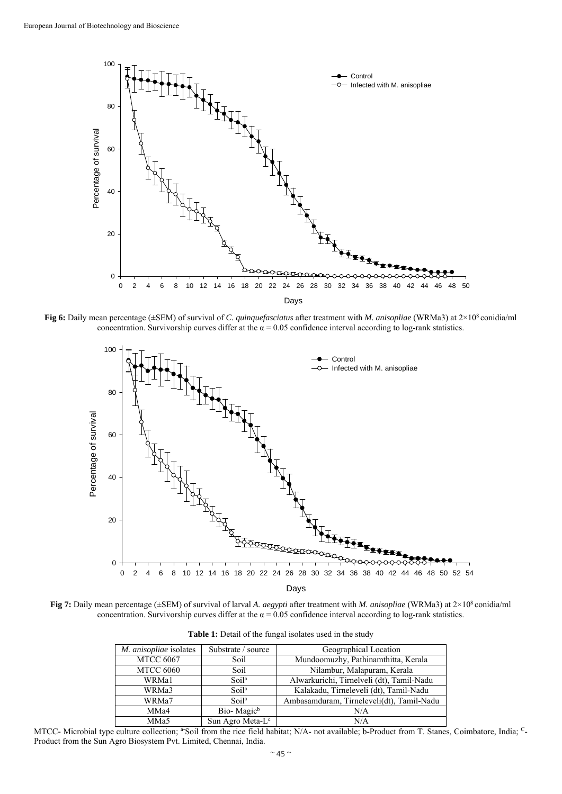

**Fig 6:** Daily mean percentage (±SEM) of survival of *C. quinquefasciatus* after treatment with *M. anisopliae* (WRMa3) at 2×108 conidia/ml concentration. Survivorship curves differ at the  $\alpha = 0.05$  confidence interval according to log-rank statistics.



**Fig 7:** Daily mean percentage (±SEM) of survival of larval *A. aegypti* after treatment with *M. anisopliae* (WRMa3) at 2×108 conidia/ml concentration. Survivorship curves differ at the  $\alpha = 0.05$  confidence interval according to log-rank statistics.

| M. anisopliae isolates | Substrate / source           | Geographical Location                     |
|------------------------|------------------------------|-------------------------------------------|
| <b>MTCC 6067</b>       | Soil                         | Mundoomuzhy, Pathinamthitta, Kerala       |
| <b>MTCC 6060</b>       | Soil                         | Nilambur, Malapuram, Kerala               |
| WRMa1                  | Soi1 <sup>a</sup>            | Alwarkurichi, Tirnelveli (dt), Tamil-Nadu |
| WRMa3                  | Soil <sup>a</sup>            | Kalakadu, Tirneleveli (dt), Tamil-Nadu    |
| WRMa7                  | Soi <sup>1a</sup>            | Ambasamduram, Tirneleveli(dt), Tamil-Nadu |
| MMa4                   | Bio-Magic <sup>b</sup>       | N/A                                       |
| MM <sub>a5</sub>       | Sun Agro Meta-L <sup>c</sup> | N/A                                       |

| Table 1: Detail of the fungal isolates used in the study |
|----------------------------------------------------------|
|----------------------------------------------------------|

MTCC- Microbial type culture collection; <sup>a-</sup>Soil from the rice field habitat; N/A- not available; b-Product from T. Stanes, Coimbatore, India; <sup>C</sup>-Product from the Sun Agro Biosystem Pvt. Limited, Chennai, India.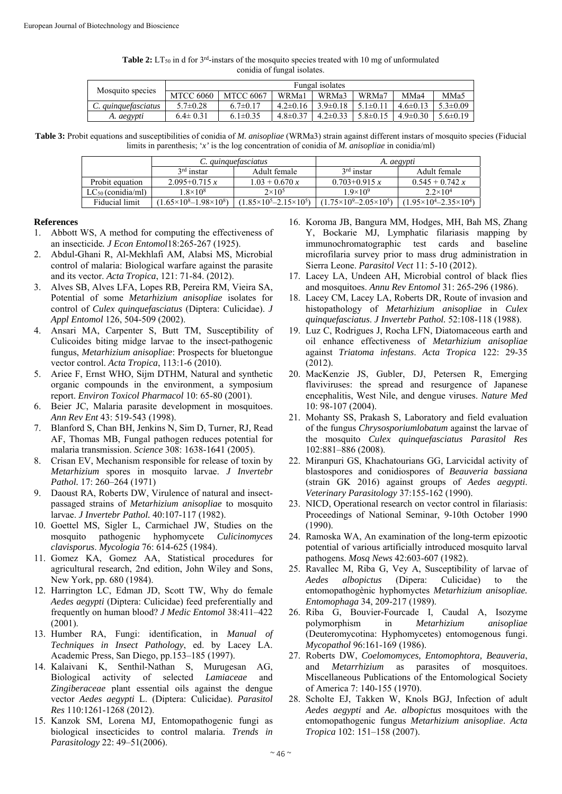| <b>Table 2:</b> LT <sub>50</sub> in d for $3^{rd}$ -instars of the mosquito species treated with 10 mg of unformulated |  |  |  |  |  |
|------------------------------------------------------------------------------------------------------------------------|--|--|--|--|--|
| conidia of fungal isolates.                                                                                            |  |  |  |  |  |

| Mosquito species    | Fungal isolates  |                  |                |                |                   |                |                |
|---------------------|------------------|------------------|----------------|----------------|-------------------|----------------|----------------|
|                     | <b>MTCC 6060</b> | <b>MTCC 6067</b> | WRMa1          | WRMa3          | WRMa <sup>7</sup> | MMa4           | MMa5           |
| C. quinquefasciatus | $5.7 \pm 0.28$   | $6.7 \pm 0.17$   | $4.2\pm0.16$   | $3.9 \pm 0.18$ | $5.1 \pm 0.11$    | $4.6 \pm 0.13$ | $5.3 \pm 0.09$ |
| A. aegypti          | $6.4 \pm 0.31$   | $6.1 \pm 0.35$   | $4.8 \pm 0.37$ | $4.2 \pm 0.33$ | $5.8 \pm 0.15$    | $4.9 \pm 0.30$ | $5.6 \pm 0.19$ |

**Table 3:** Probit equations and susceptibilities of conidia of *M. anisopliae* (WRMa3) strain against different instars of mosquito species (Fiducial limits in parenthesis; '*x'* is the log concentration of conidia of *M. anisopliae* in conidia/ml)

|                        |                                       | C. <i>auinauefasciatus</i>          | A. aegypti                            |                                         |  |
|------------------------|---------------------------------------|-------------------------------------|---------------------------------------|-----------------------------------------|--|
|                        | $3rd$ instar                          | Adult female                        | $3rd$ instar                          | Adult female                            |  |
| Probit equation        | $2.095+0.715 x$                       | $1.03 + 0.670 x$                    | $0.703 + 0.915 x$                     | $0.545 + 0.742 x$                       |  |
| $LC_{50}$ (conidia/ml) | $1.8\times10^{8}$                     | $2\times10^5$                       | $1.9\times10^{9}$                     | $2.2 \times 10^4$                       |  |
| Fiducial limit         | $(1.65\times10^{8}-1.98\times10^{8})$ | $(1.85\times10^5 - 2.15\times10^5)$ | $(1.75\times10^{9}-2.05\times10^{5})$ | $(1.95\times10^{4} - 2.35\times10^{4})$ |  |

#### **References**

- 1. Abbott WS, A method for computing the effectiveness of an insecticide*. J Econ Entomol*18:265-267 (1925).
- 2. Abdul-Ghani R, Al-Mekhlafi AM, Alabsi MS, Microbial control of malaria: Biological warfare against the parasite and its vector. *Acta Tropica*, 121: 71-84. (2012).
- 3. Alves SB, Alves LFA, Lopes RB, Pereira RM, Vieira SA, Potential of some *Metarhizium anisopliae* isolates for control of *Culex quinquefasciatus* (Diptera: Culicidae). *J Appl Entomol* 126, 504-509 (2002).
- 4. Ansari MA, Carpenter S, Butt TM, Susceptibility of Culicoides biting midge larvae to the insect-pathogenic fungus, *Metarhizium anisopliae*: Prospects for bluetongue vector control. *Acta Tropica*, 113:1-6 (2010).
- 5. Ariee F, Ernst WHO, Sijm DTHM, Natural and synthetic organic compounds in the environment, a symposium report. *Environ Toxicol Pharmacol* 10: 65-80 (2001).
- 6. Beier JC, Malaria parasite development in mosquitoes. *Ann Rev Ent* 43: 519-543 (1998).
- 7. Blanford S, Chan BH, Jenkins N, Sim D, Turner, RJ, Read AF, Thomas MB, Fungal pathogen reduces potential for malaria transmission. *Science* 308: 1638-1641 (2005).
- 8. Crisan EV, Mechanism responsible for release of toxin by *Metarhizium* spores in mosquito larvae. *J Invertebr Pathol.* 17: 260–264 (1971)
- 9. Daoust RA, Roberts DW, Virulence of natural and insectpassaged strains of *Metarhizium anisopliae* to mosquito larvae. *J Invertebr Pathol.* 40:107-117 (1982).
- 10. Goettel MS, Sigler L, Carmichael JW, Studies on the mosquito pathogenic hyphomycete *Culicinomyces clavisporus*. *Mycologia* 76: 614-625 (1984).
- 11. Gomez KA, Gomez AA, Statistical procedures for agricultural research, 2nd edition, John Wiley and Sons, New York, pp. 680 (1984).
- 12. Harrington LC, Edman JD, Scott TW, Why do female *Aedes aegypti* (Diptera: Culicidae) feed preferentially and frequently on human blood? *J Medic Entomol* 38:411–422 (2001).
- 13. Humber RA, Fungi: identification, in *Manual of Techniques in Insect Pathology*, ed. by Lacey LA. Academic Press, San Diego, pp.153–185 (1997).
- 14. Kalaivani K, Senthil-Nathan S, Murugesan AG, Biological activity of selected *Lamiaceae* and *Zingiberaceae* plant essential oils against the dengue vector *Aedes aegypti* L. (Diptera: Culicidae). *Parasitol Res* 110:1261-1268 (2012).
- 15. Kanzok SM, Lorena MJ, Entomopathogenic fungi as biological insecticides to control malaria. *Trends in Parasitology* 22: 49–51(2006).
- 16. Koroma JB, Bangura MM, Hodges, MH, Bah MS, Zhang Y, Bockarie MJ, Lymphatic filariasis mapping by immunochromatographic test cards and baseline microfilaria survey prior to mass drug administration in Sierra Leone. *Parasitol Vect* 11: 5-10 (2012).
- 17. Lacey LA, Undeen AH, Microbial control of black flies and mosquitoes. *Annu Rev Entomol* 31: 265-296 (1986).
- 18. Lacey CM, Lacey LA, Roberts DR, Route of invasion and histopathology of *Metarhizium anisopliae* in *Culex quinquefasciatus*. *J Invertebr Pathol.* 52:108-118 (1988).
- 19. Luz C, Rodrigues J, Rocha LFN, Diatomaceous earth and oil enhance effectiveness of *Metarhizium anisopliae* against *Triatoma infestans*. *Acta Tropica* 122: 29-35 (2012).
- 20. MacKenzie JS, Gubler, DJ, Petersen R, Emerging flaviviruses: the spread and resurgence of Japanese encephalitis, West Nile, and dengue viruses. *Nature Med*  10: 98-107 (2004).
- 21. Mohanty SS, Prakash S, Laboratory and field evaluation of the fungus *Chrysosporiumlobatum* against the larvae of the mosquito *Culex quinquefasciatus Parasitol Res*  102:881–886 (2008).
- 22. Miranpuri GS, Khachatourians GG, Larvicidal activity of blastospores and conidiospores of *Beauveria bassiana* (strain GK 2016) against groups of *Aedes aegypti*. *Veterinary Parasitology* 37:155-162 (1990).
- 23. NICD, Operational research on vector control in filariasis: Proceedings of National Seminar, 9-10th October 1990 (1990).
- 24. Ramoska WA, An examination of the long-term epizootic potential of various artificially introduced mosquito larval pathogens. *Mosq News* 42:603-607 (1982).
- 25. Ravallec M, Riba G, Vey A, Susceptibility of larvae of *Aedes albopictus* (Dipera: Culicidae) to the entomopathogènic hyphomyctes *Metarhizium anisopliae. Entomophaga* 34, 209-217 (1989).
- 26. Riba G, Bouvier-Fourcade I, Caudal A, Isozyme polymorphism in *Metarhizium anisopliae*  (Deuteromycotina: Hyphomycetes) entomogenous fungi. *Mycopathol* 96:161-169 (1986).
- 27. Roberts DW, *Coelomomyces, Entomophtora, Beauveria*, and *Metarrhizium* as parasites of mosquitoes. Miscellaneous Publications of the Entomological Society of America 7: 140-155 (1970).
- 28. Scholte EJ, Takken W, Knols BGJ, Infection of adult *Aedes aegypti* and *Ae. albopictus* mosquitoes with the entomopathogenic fungus *Metarhizium anisopliae*. *Acta Tropica* 102: 151–158 (2007).